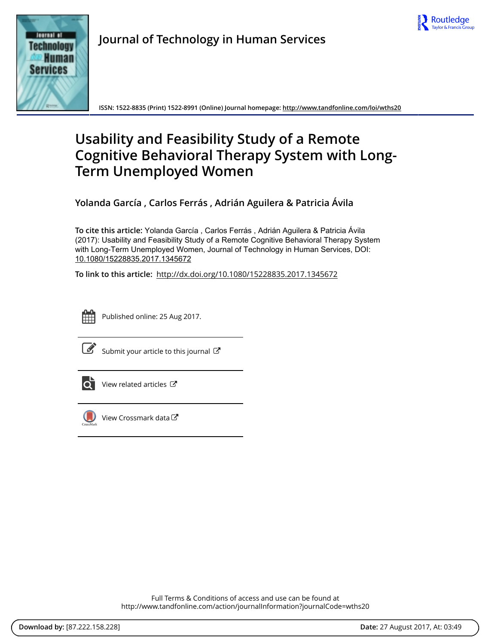



**Journal of Technology in Human Services**

**ISSN: 1522-8835 (Print) 1522-8991 (Online) Journal homepage:<http://www.tandfonline.com/loi/wths20>**

# **Usability and Feasibility Study of a Remote Cognitive Behavioral Therapy System with Long-Term Unemployed Women**

**Yolanda García , Carlos Ferrás , Adrián Aguilera & Patricia Ávila**

**To cite this article:** Yolanda García , Carlos Ferrás , Adrián Aguilera & Patricia Ávila (2017): Usability and Feasibility Study of a Remote Cognitive Behavioral Therapy System with Long-Term Unemployed Women, Journal of Technology in Human Services, DOI: [10.1080/15228835.2017.1345672](http://www.tandfonline.com/action/showCitFormats?doi=10.1080/15228835.2017.1345672)

**To link to this article:** <http://dx.doi.org/10.1080/15228835.2017.1345672>



Published online: 25 Aug 2017.

[Submit your article to this journal](http://www.tandfonline.com/action/authorSubmission?journalCode=wths20&show=instructions)  $\mathbb{Z}$ 



 $\overrightarrow{Q}$  [View related articles](http://www.tandfonline.com/doi/mlt/10.1080/15228835.2017.1345672)  $\overrightarrow{C}$ 



[View Crossmark data](http://crossmark.crossref.org/dialog/?doi=10.1080/15228835.2017.1345672&domain=pdf&date_stamp=2017-08-25) $\mathbb{Z}$ 

Full Terms & Conditions of access and use can be found at <http://www.tandfonline.com/action/journalInformation?journalCode=wths20>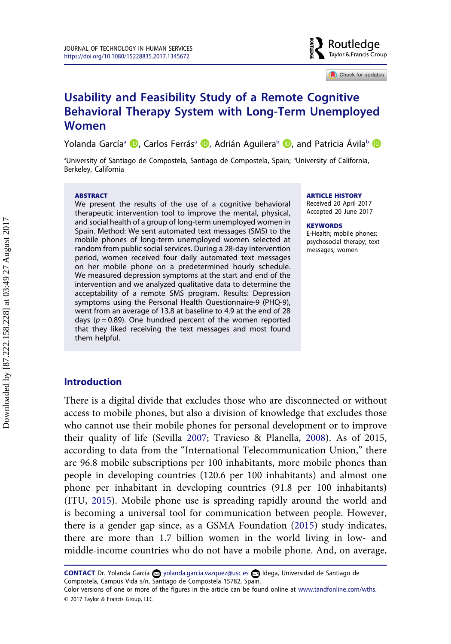

 $\Box$  Check for updates

## **Usability and Feasibility Study of a Remote Cognitive Behavioral Therapy System with Long-Term Unemployed Women**

Yolanda García<sup>a</sup> <sup>(D</sup>. Carlos Ferrás<sup>a</sup> (D. Adrián Aguilera<sup>b</sup> (D. and Patricia Ávila[b](http://orcid.org/0000-0002-4600-9348) (D

ªUniversity of Santiago de Compostela, Santiago de Compostela, Spain; <sup>b</sup>University of California, Berkeley, California

#### **ABSTRACT**

We present the results of the use of a cognitive behavioral therapeutic intervention tool to improve the mental, physical, and social health of a group of long-term unemployed women in Spain. Method: We sent automated text messages (SMS) to the mobile phones of long-term unemployed women selected at random from public social services. During a 28-day intervention period, women received four daily automated text messages on her mobile phone on a predetermined hourly schedule. We measured depression symptoms at the start and end of the intervention and we analyzed qualitative data to determine the acceptability of a remote SMS program. Results: Depression symptoms using the Personal Health Questionnaire-9 (PHQ-9), went from an average of 13.8 at baseline to 4.9 at the end of 28 days ( $p = 0.89$ ). One hundred percent of the women reported that they liked receiving the text messages and most found them helpful.

#### **ARTICLE HISTORY**

Received 20 April 2017 Accepted 20 June 2017

#### **KEYWORDS**

E-Health; mobile phones; psychosocial therapy; text messages; women

## **Introduction**

There is a digital divide that excludes those who are disconnected or without access to mobile phones, but also a division of knowledge that excludes those who cannot use their mobile phones for personal development or to improve their quality of life (Sevilla [2007;](#page-11-0) Travieso & Planella, [2008\)](#page-11-0). As of 2015, according to data from the "International Telecommunication Union," there are 96.8 mobile subscriptions per 100 inhabitants, more mobile phones than people in developing countries (120.6 per 100 inhabitants) and almost one phone per inhabitant in developing countries (91.8 per 100 inhabitants) (ITU, [2015](#page-11-0)). Mobile phone use is spreading rapidly around the world and is becoming a universal tool for communication between people. However, there is a gender gap since, as a GSMA Foundation [\(2015](#page-11-0)) study indicates, there are more than 1.7 billion women in the world living in low- and middle-income countries who do not have a mobile phone. And, on average,

CONTACT Dr. Yolanda García Ø [yolanda.garcia.vazquez@usc.es](mailto:yolanda.garcia.vazquez@usc.es) **■** Idega, Universidad de Santiago de Compostela, Campus Vida s/n, Santiago de Compostela 15782, Spain.

Color versions of one or more of the figures in the article can be found online at [www.tandfonline.com/wths](http://www.tandfonline.com/wths). © 2017 Taylor & Francis Group, LLC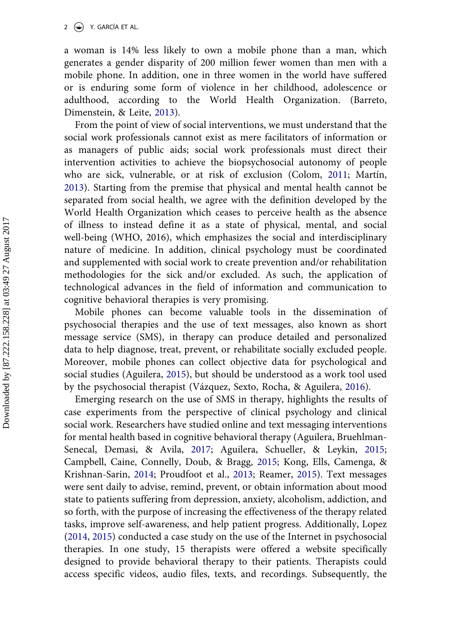2  $\left(\frac{1}{2}\right)$  Y. GARCÍA ET AL.

a woman is 14% less likely to own a mobile phone than a man, which generates a gender disparity of 200 million fewer women than men with a mobile phone. In addition, one in three women in the world have suffered or is enduring some form of violence in her childhood, adolescence or adulthood, according to the World Health Organization. (Barreto, Dimenstein, & Leite, [2013\)](#page-11-0).

From the point of view of social interventions, we must understand that the social work professionals cannot exist as mere facilitators of information or as managers of public aids; social work professionals must direct their intervention activities to achieve the biopsychosocial autonomy of people who are sick, vulnerable, or at risk of exclusion (Colom, [2011](#page-11-0); Martín, [2013\)](#page-11-0). Starting from the premise that physical and mental health cannot be separated from social health, we agree with the definition developed by the World Health Organization which ceases to perceive health as the absence of illness to instead define it as a state of physical, mental, and social well-being (WHO, 2016), which emphasizes the social and interdisciplinary nature of medicine. In addition, clinical psychology must be coordinated and supplemented with social work to create prevention and/or rehabilitation methodologies for the sick and/or excluded. As such, the application of technological advances in the field of information and communication to cognitive behavioral therapies is very promising.

Mobile phones can become valuable tools in the dissemination of psychosocial therapies and the use of text messages, also known as short message service (SMS), in therapy can produce detailed and personalized data to help diagnose, treat, prevent, or rehabilitate socially excluded people. Moreover, mobile phones can collect objective data for psychological and social studies (Aguilera, [2015\)](#page-10-0), but should be understood as a work tool used by the psychosocial therapist (Vázquez, Sexto, Rocha, & Aguilera, [2016\)](#page-11-0).

Emerging research on the use of SMS in therapy, highlights the results of case experiments from the perspective of clinical psychology and clinical social work. Researchers have studied online and text messaging interventions for mental health based in cognitive behavioral therapy (Aguilera, Bruehlman-Senecal, Demasi, & Avila, [2017;](#page-10-0) Aguilera, Schueller, & Leykin, [2015;](#page-11-0) Campbell, Caine, Connelly, Doub, & Bragg, [2015](#page-11-0); Kong, Ells, Camenga, & Krishnan-Sarin, [2014;](#page-11-0) Proudfoot et al., [2013;](#page-11-0) Reamer, [2015](#page-11-0)). Text messages were sent daily to advise, remind, prevent, or obtain information about mood state to patients suffering from depression, anxiety, alcoholism, addiction, and so forth, with the purpose of increasing the effectiveness of the therapy related tasks, improve self-awareness, and help patient progress. Additionally, Lopez ([2014,](#page-11-0) [2015](#page-11-0)) conducted a case study on the use of the Internet in psychosocial therapies. In one study, 15 therapists were offered a website specifically designed to provide behavioral therapy to their patients. Therapists could access specific videos, audio files, texts, and recordings. Subsequently, the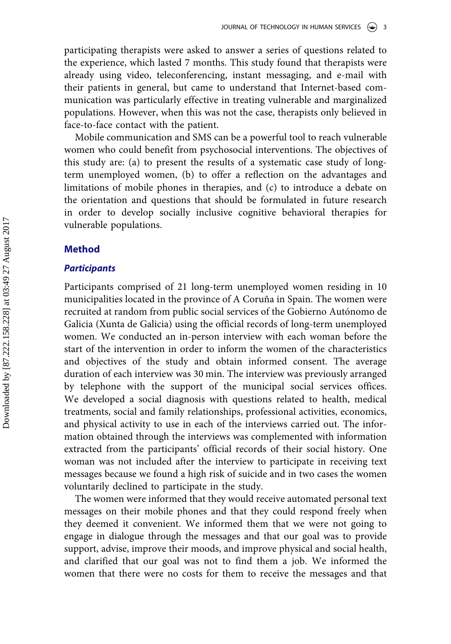participating therapists were asked to answer a series of questions related to the experience, which lasted 7 months. This study found that therapists were already using video, teleconferencing, instant messaging, and e-mail with their patients in general, but came to understand that Internet-based communication was particularly effective in treating vulnerable and marginalized populations. However, when this was not the case, therapists only believed in face-to-face contact with the patient.

Mobile communication and SMS can be a powerful tool to reach vulnerable women who could benefit from psychosocial interventions. The objectives of this study are: (a) to present the results of a systematic case study of longterm unemployed women, (b) to offer a reflection on the advantages and limitations of mobile phones in therapies, and (c) to introduce a debate on the orientation and questions that should be formulated in future research in order to develop socially inclusive cognitive behavioral therapies for vulnerable populations.

## **Method**

### *Participants*

Participants comprised of 21 long-term unemployed women residing in 10 municipalities located in the province of A Coruña in Spain. The women were recruited at random from public social services of the Gobierno Autónomo de Galicia (Xunta de Galicia) using the official records of long-term unemployed women. We conducted an in-person interview with each woman before the start of the intervention in order to inform the women of the characteristics and objectives of the study and obtain informed consent. The average duration of each interview was 30 min. The interview was previously arranged by telephone with the support of the municipal social services offices. We developed a social diagnosis with questions related to health, medical treatments, social and family relationships, professional activities, economics, and physical activity to use in each of the interviews carried out. The information obtained through the interviews was complemented with information extracted from the participants' official records of their social history. One woman was not included after the interview to participate in receiving text messages because we found a high risk of suicide and in two cases the women voluntarily declined to participate in the study.

The women were informed that they would receive automated personal text messages on their mobile phones and that they could respond freely when they deemed it convenient. We informed them that we were not going to engage in dialogue through the messages and that our goal was to provide support, advise, improve their moods, and improve physical and social health, and clarified that our goal was not to find them a job. We informed the women that there were no costs for them to receive the messages and that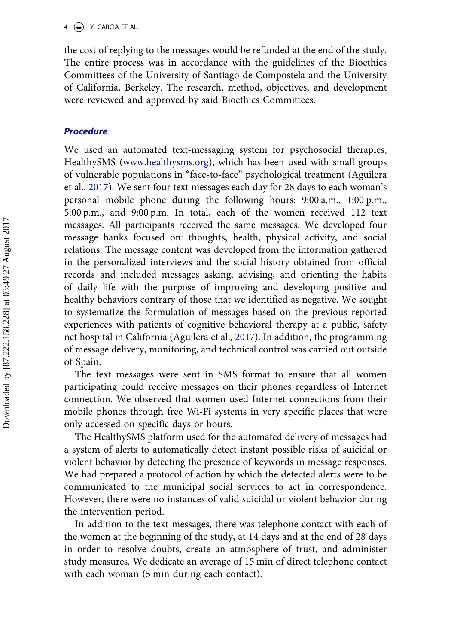the cost of replying to the messages would be refunded at the end of the study. The entire process was in accordance with the guidelines of the Bioethics Committees of the University of Santiago de Compostela and the University of California, Berkeley. The research, method, objectives, and development were reviewed and approved by said Bioethics Committees.

## *Procedure*

We used an automated text-messaging system for psychosocial therapies, HealthySMS [\(www.healthysms.org](http://www.healthysms.org)), which has been used with small groups of vulnerable populations in "face-to-face" psychological treatment (Aguilera et al., [2017\)](#page-10-0). We sent four text messages each day for 28 days to each woman's personal mobile phone during the following hours: 9:00 a.m., 1:00 p.m., 5:00 p.m., and 9:00 p.m. In total, each of the women received 112 text messages. All participants received the same messages. We developed four message banks focused on: thoughts, health, physical activity, and social relations. The message content was developed from the information gathered in the personalized interviews and the social history obtained from official records and included messages asking, advising, and orienting the habits of daily life with the purpose of improving and developing positive and healthy behaviors contrary of those that we identified as negative. We sought to systematize the formulation of messages based on the previous reported experiences with patients of cognitive behavioral therapy at a public, safety net hospital in California (Aguilera et al., [2017\)](#page-10-0). In addition, the programming of message delivery, monitoring, and technical control was carried out outside of Spain.

The text messages were sent in SMS format to ensure that all women participating could receive messages on their phones regardless of Internet connection. We observed that women used Internet connections from their mobile phones through free Wi-Fi systems in very specific places that were only accessed on specific days or hours.

The HealthySMS platform used for the automated delivery of messages had a system of alerts to automatically detect instant possible risks of suicidal or violent behavior by detecting the presence of keywords in message responses. We had prepared a protocol of action by which the detected alerts were to be communicated to the municipal social services to act in correspondence. However, there were no instances of valid suicidal or violent behavior during the intervention period.

In addition to the text messages, there was telephone contact with each of the women at the beginning of the study, at 14 days and at the end of 28 days in order to resolve doubts, create an atmosphere of trust, and administer study measures. We dedicate an average of 15 min of direct telephone contact with each woman (5 min during each contact).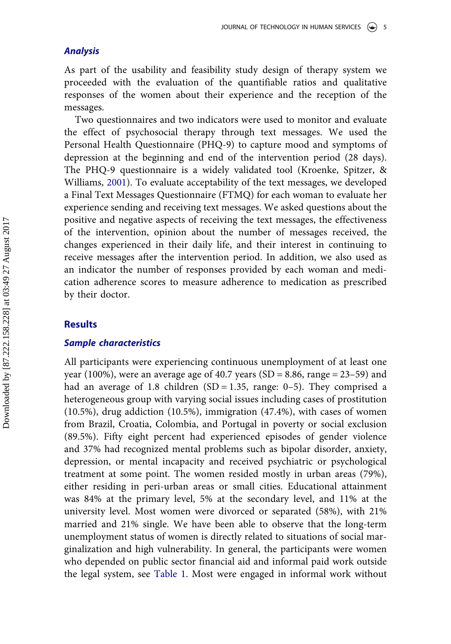## *Analysis*

As part of the usability and feasibility study design of therapy system we proceeded with the evaluation of the quantifiable ratios and qualitative responses of the women about their experience and the reception of the messages.

Two questionnaires and two indicators were used to monitor and evaluate the effect of psychosocial therapy through text messages. We used the Personal Health Questionnaire (PHQ-9) to capture mood and symptoms of depression at the beginning and end of the intervention period (28 days). The PHQ-9 questionnaire is a widely validated tool (Kroenke, Spitzer, & Williams, [2001](#page-11-0)). To evaluate acceptability of the text messages, we developed a Final Text Messages Questionnaire (FTMQ) for each woman to evaluate her experience sending and receiving text messages. We asked questions about the positive and negative aspects of receiving the text messages, the effectiveness of the intervention, opinion about the number of messages received, the changes experienced in their daily life, and their interest in continuing to receive messages after the intervention period. In addition, we also used as an indicator the number of responses provided by each woman and medication adherence scores to measure adherence to medication as prescribed by their doctor.

## **Results**

## *Sample characteristics*

All participants were experiencing continuous unemployment of at least one year (100%), were an average age of 40.7 years (SD = 8.86, range =  $23-59$ ) and had an average of 1.8 children (SD = 1.35, range:  $0-5$ ). They comprised a heterogeneous group with varying social issues including cases of prostitution (10.5%), drug addiction (10.5%), immigration (47.4%), with cases of women from Brazil, Croatia, Colombia, and Portugal in poverty or social exclusion (89.5%). Fifty eight percent had experienced episodes of gender violence and 37% had recognized mental problems such as bipolar disorder, anxiety, depression, or mental incapacity and received psychiatric or psychological treatment at some point. The women resided mostly in urban areas (79%), either residing in peri-urban areas or small cities. Educational attainment was 84% at the primary level, 5% at the secondary level, and 11% at the university level. Most women were divorced or separated (58%), with 21% married and 21% single. We have been able to observe that the long-term unemployment status of women is directly related to situations of social marginalization and high vulnerability. In general, the participants were women who depended on public sector financial aid and informal paid work outside the legal system, see [Table 1.](#page-6-0) Most were engaged in informal work without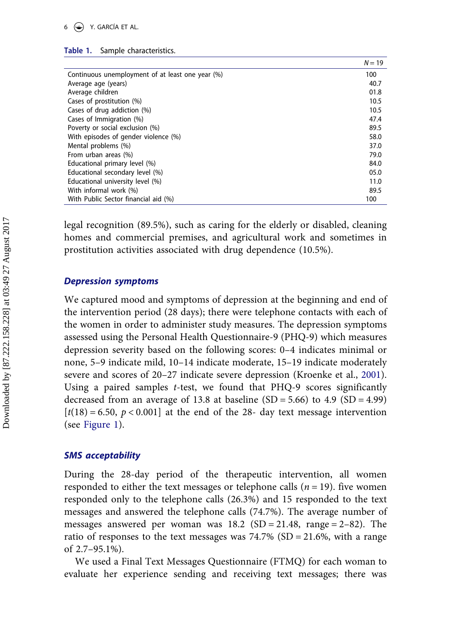#### <span id="page-6-0"></span>**Table 1.** Sample characteristics.

|                                                  | $N = 19$ |
|--------------------------------------------------|----------|
| Continuous unemployment of at least one year (%) | 100      |
| Average age (years)                              | 40.7     |
| Average children                                 | 01.8     |
| Cases of prostitution (%)                        | 10.5     |
| Cases of drug addiction (%)                      | 10.5     |
| Cases of Immigration (%)                         | 47.4     |
| Poverty or social exclusion (%)                  | 89.5     |
| With episodes of gender violence (%)             | 58.0     |
| Mental problems (%)                              | 37.0     |
| From urban areas (%)                             | 79.0     |
| Educational primary level (%)                    | 84.0     |
| Educational secondary level (%)                  | 05.0     |
| Educational university level (%)                 | 11.0     |
| With informal work (%)                           | 89.5     |
| With Public Sector financial aid (%)             | 100      |

legal recognition (89.5%), such as caring for the elderly or disabled, cleaning homes and commercial premises, and agricultural work and sometimes in prostitution activities associated with drug dependence (10.5%).

## *Depression symptoms*

We captured mood and symptoms of depression at the beginning and end of the intervention period (28 days); there were telephone contacts with each of the women in order to administer study measures. The depression symptoms assessed using the Personal Health Questionnaire-9 (PHQ-9) which measures depression severity based on the following scores: 0–4 indicates minimal or none, 5–9 indicate mild, 10–14 indicate moderate, 15–19 indicate moderately severe and scores of 20–27 indicate severe depression (Kroenke et al., [2001\)](#page-11-0). Using a paired samples *t*-test, we found that PHQ-9 scores significantly decreased from an average of 13.8 at baseline  $(SD = 5.66)$  to 4.9  $(SD = 4.99)$  $[t(18) = 6.50, p < 0.001]$  at the end of the 28- day text message intervention (see [Figure 1](#page-7-0)).

## *SMS acceptability*

During the 28-day period of the therapeutic intervention, all women responded to either the text messages or telephone calls (*n* = 19). five women responded only to the telephone calls (26.3%) and 15 responded to the text messages and answered the telephone calls (74.7%). The average number of messages answered per woman was  $18.2 \text{ (SD = 21.48, range = 2-82)}.$  The ratio of responses to the text messages was  $74.7\%$  (SD = 21.6%, with a range of 2.7–95.1%).

We used a Final Text Messages Questionnaire (FTMQ) for each woman to evaluate her experience sending and receiving text messages; there was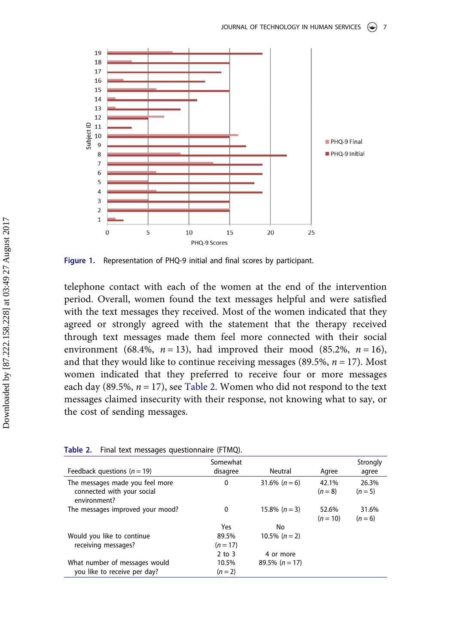<span id="page-7-0"></span>

**Figure 1.** Representation of PHQ-9 initial and final scores by participant.

telephone contact with each of the women at the end of the intervention period. Overall, women found the text messages helpful and were satisfied with the text messages they received. Most of the women indicated that they agreed or strongly agreed with the statement that the therapy received through text messages made them feel more connected with their social environment (68.4%,  $n = 13$ ), had improved their mood (85.2%,  $n = 16$ ), and that they would like to continue receiving messages  $(89.5\%, n = 17)$ . Most women indicated that they preferred to receive four or more messages each day (89.5%,  $n = 17$ ), see Table 2. Women who did not respond to the text messages claimed insecurity with their response, not knowing what to say, or the cost of sending messages.

| Feedback questions ( $n = 19$ )                                               | Somewhat<br>disagree | Neutral          | Agree               | Strongly<br>agree  |
|-------------------------------------------------------------------------------|----------------------|------------------|---------------------|--------------------|
| The messages made you feel more<br>connected with your social<br>environment? | $\mathbf{0}$         | 31.6% $(n = 6)$  | 42.1%<br>$(n = 8)$  | 26.3%<br>$(n = 5)$ |
| The messages improved your mood?                                              | 0                    | $15.8\% (n=3)$   | 52.6%<br>$(n = 10)$ | 31.6%<br>$(n = 6)$ |
|                                                                               | Yes                  | No               |                     |                    |
| Would you like to continue<br>receiving messages?                             | 89.5%<br>$(n = 17)$  | 10.5% $(n = 2)$  |                     |                    |
|                                                                               | $2$ to $3$           | 4 or more        |                     |                    |
| What number of messages would<br>you like to receive per day?                 | 10.5%<br>$(n = 2)$   | 89.5% $(n = 17)$ |                     |                    |
|                                                                               |                      |                  |                     |                    |

**Table 2.** Final text messages questionnaire (FTMQ).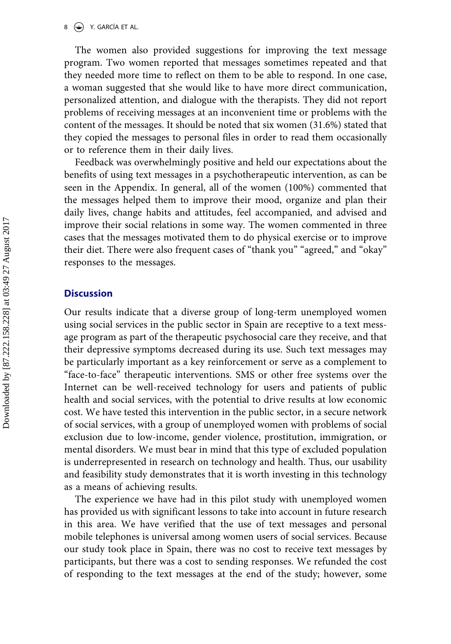$8 \leftrightarrow$  Y. GARCÍA ET AL.

The women also provided suggestions for improving the text message program. Two women reported that messages sometimes repeated and that they needed more time to reflect on them to be able to respond. In one case, a woman suggested that she would like to have more direct communication, personalized attention, and dialogue with the therapists. They did not report problems of receiving messages at an inconvenient time or problems with the content of the messages. It should be noted that six women (31.6%) stated that they copied the messages to personal files in order to read them occasionally or to reference them in their daily lives.

Feedback was overwhelmingly positive and held our expectations about the benefits of using text messages in a psychotherapeutic intervention, as can be seen in the Appendix. In general, all of the women (100%) commented that the messages helped them to improve their mood, organize and plan their daily lives, change habits and attitudes, feel accompanied, and advised and improve their social relations in some way. The women commented in three cases that the messages motivated them to do physical exercise or to improve their diet. There were also frequent cases of "thank you" "agreed," and "okay" responses to the messages.

## **Discussion**

Our results indicate that a diverse group of long-term unemployed women using social services in the public sector in Spain are receptive to a text message program as part of the therapeutic psychosocial care they receive, and that their depressive symptoms decreased during its use. Such text messages may be particularly important as a key reinforcement or serve as a complement to "face-to-face" therapeutic interventions. SMS or other free systems over the Internet can be well-received technology for users and patients of public health and social services, with the potential to drive results at low economic cost. We have tested this intervention in the public sector, in a secure network of social services, with a group of unemployed women with problems of social exclusion due to low-income, gender violence, prostitution, immigration, or mental disorders. We must bear in mind that this type of excluded population is underrepresented in research on technology and health. Thus, our usability and feasibility study demonstrates that it is worth investing in this technology as a means of achieving results.

The experience we have had in this pilot study with unemployed women has provided us with significant lessons to take into account in future research in this area. We have verified that the use of text messages and personal mobile telephones is universal among women users of social services. Because our study took place in Spain, there was no cost to receive text messages by participants, but there was a cost to sending responses. We refunded the cost of responding to the text messages at the end of the study; however, some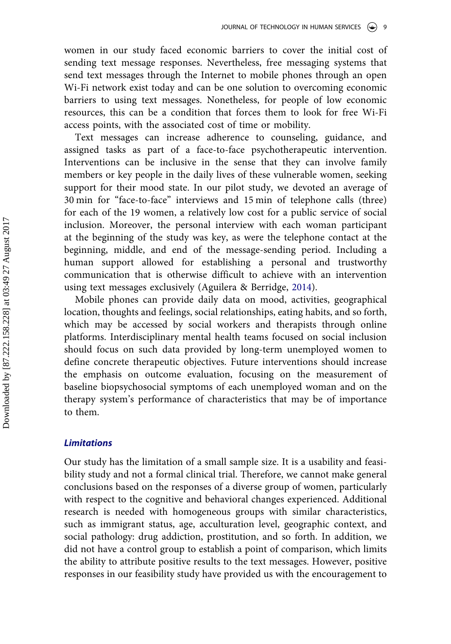women in our study faced economic barriers to cover the initial cost of sending text message responses. Nevertheless, free messaging systems that send text messages through the Internet to mobile phones through an open Wi-Fi network exist today and can be one solution to overcoming economic barriers to using text messages. Nonetheless, for people of low economic resources, this can be a condition that forces them to look for free Wi-Fi access points, with the associated cost of time or mobility.

Text messages can increase adherence to counseling, guidance, and assigned tasks as part of a face-to-face psychotherapeutic intervention. Interventions can be inclusive in the sense that they can involve family members or key people in the daily lives of these vulnerable women, seeking support for their mood state. In our pilot study, we devoted an average of 30 min for "face-to-face" interviews and 15 min of telephone calls (three) for each of the 19 women, a relatively low cost for a public service of social inclusion. Moreover, the personal interview with each woman participant at the beginning of the study was key, as were the telephone contact at the beginning, middle, and end of the message-sending period. Including a human support allowed for establishing a personal and trustworthy communication that is otherwise difficult to achieve with an intervention using text messages exclusively (Aguilera & Berridge, [2014](#page-10-0)).

Mobile phones can provide daily data on mood, activities, geographical location, thoughts and feelings, social relationships, eating habits, and so forth, which may be accessed by social workers and therapists through online platforms. Interdisciplinary mental health teams focused on social inclusion should focus on such data provided by long-term unemployed women to define concrete therapeutic objectives. Future interventions should increase the emphasis on outcome evaluation, focusing on the measurement of baseline biopsychosocial symptoms of each unemployed woman and on the therapy system's performance of characteristics that may be of importance to them.

## *Limitations*

Our study has the limitation of a small sample size. It is a usability and feasibility study and not a formal clinical trial. Therefore, we cannot make general conclusions based on the responses of a diverse group of women, particularly with respect to the cognitive and behavioral changes experienced. Additional research is needed with homogeneous groups with similar characteristics, such as immigrant status, age, acculturation level, geographic context, and social pathology: drug addiction, prostitution, and so forth. In addition, we did not have a control group to establish a point of comparison, which limits the ability to attribute positive results to the text messages. However, positive responses in our feasibility study have provided us with the encouragement to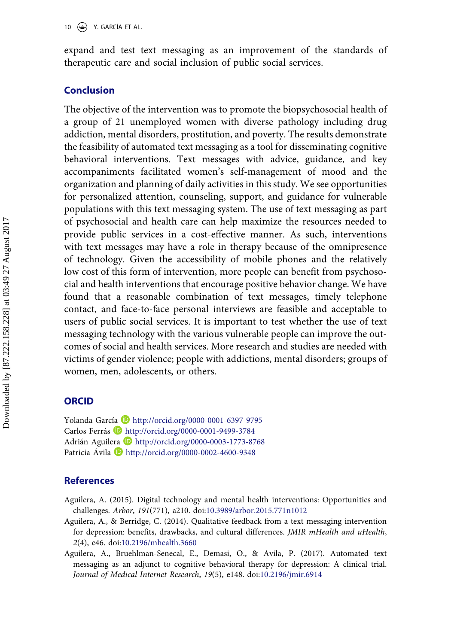<span id="page-10-0"></span>expand and test text messaging as an improvement of the standards of therapeutic care and social inclusion of public social services.

## **Conclusion**

The objective of the intervention was to promote the biopsychosocial health of a group of 21 unemployed women with diverse pathology including drug addiction, mental disorders, prostitution, and poverty. The results demonstrate the feasibility of automated text messaging as a tool for disseminating cognitive behavioral interventions. Text messages with advice, guidance, and key accompaniments facilitated women's self-management of mood and the organization and planning of daily activities in this study. We see opportunities for personalized attention, counseling, support, and guidance for vulnerable populations with this text messaging system. The use of text messaging as part of psychosocial and health care can help maximize the resources needed to provide public services in a cost-effective manner. As such, interventions with text messages may have a role in therapy because of the omnipresence of technology. Given the accessibility of mobile phones and the relatively low cost of this form of intervention, more people can benefit from psychosocial and health interventions that encourage positive behavior change. We have found that a reasonable combination of text messages, timely telephone contact, and face-to-face personal interviews are feasible and acceptable to users of public social services. It is important to test whether the use of text messaging technology with the various vulnerable people can improve the outcomes of social and health services. More research and studies are needed with victims of gender violence; people with addictions, mental disorders; groups of women, men, adolescents, or others.

## **ORCID**

Yolanda García D <http://orcid.org/0000-0001-6397-9795> Carlos Ferrás D http://orcid.org/0000-0001-9499-3784 Adrián Aguilera http://orcid.org/0000-0003-1773-8768 Patricia Ávila D http://orcid.org/0000-0002-4600-9348

## **References**

- Aguilera, A. (2015). Digital technology and mental health interventions: Opportunities and challenges. *Arbor*, *191*(771), a210. doi[:10.3989/arbor.2015.771n1012](https://doi.org/10.3989/arbor.2015.771n1012)
- Aguilera, A., & Berridge, C. (2014). Qualitative feedback from a text messaging intervention for depression: benefits, drawbacks, and cultural differences. *JMIR mHealth and uHealth*, *2*(4), e46. doi:[10.2196/mhealth.3660](https://doi.org/10.2196/mhealth.3660)
- Aguilera, A., Bruehlman-Senecal, E., Demasi, O., & Avila, P. (2017). Automated text messaging as an adjunct to cognitive behavioral therapy for depression: A clinical trial. *Journal of Medical Internet Research*, *19*(5), e148. doi:[10.2196/jmir.6914](https://doi.org/10.2196/jmir.6914)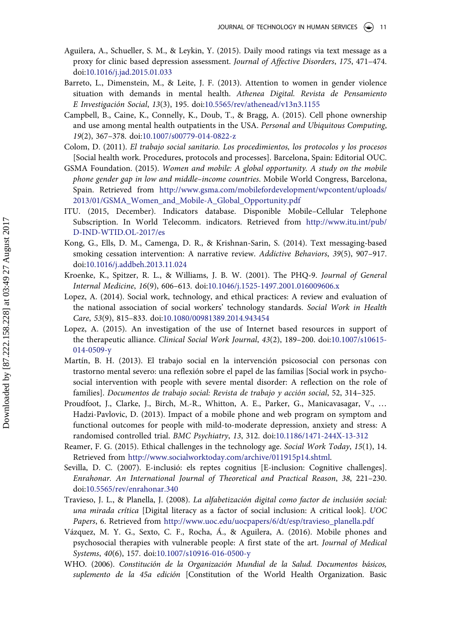- <span id="page-11-0"></span>Aguilera, A., Schueller, S. M., & Leykin, Y. (2015). Daily mood ratings via text message as a proxy for clinic based depression assessment. *Journal of Affective Disorders*, *175*, 471–474. doi[:10.1016/j.jad.2015.01.033](https://doi.org/10.1016/j.jad.2015.01.033)
- Barreto, L., Dimenstein, M., & Leite, J. F. (2013). Attention to women in gender violence situation with demands in mental health. *Athenea Digital. Revista de Pensamiento E Investigación Social*, *13*(3), 195. doi:[10.5565/rev/athenead/v13n3.1155](https://doi.org/10.5565/rev/athenead/v13n3.1155)
- Campbell, B., Caine, K., Connelly, K., Doub, T., & Bragg, A. (2015). Cell phone ownership and use among mental health outpatients in the USA. *Personal and Ubiquitous Computing*, *19*(2), 367–378. doi[:10.1007/s00779-014-0822-z](https://doi.org/10.1007/s00779-014-0822-z)
- Colom, D. (2011). *El trabajo social sanitario. Los procedimientos, los protocolos y los procesos*  [Social health work. Procedures, protocols and processes]. Barcelona, Spain: Editorial OUC.
- GSMA Foundation. (2015). *Women and mobile: A global opportunity. A study on the mobile phone gender gap in low and middle–income countries*. Mobile World Congress, Barcelona, Spain. Retrieved from [http://www.gsma.com/mobilefordevelopment/wpcontent/uploads/](http://www.gsma.com/mobilefordevelopment/wpcontent/uploads/2013/01/GSMA_Women_and_Mobile-A_Global_Opportunity.pdf) [2013/01/GSMA\\_Women\\_and\\_Mobile-A\\_Global\\_Opportunity.pdf](http://www.gsma.com/mobilefordevelopment/wpcontent/uploads/2013/01/GSMA_Women_and_Mobile-A_Global_Opportunity.pdf)
- ITU. (2015, December). Indicators database. Disponible Mobile–Cellular Telephone Subscription. In World Telecomm. indicators. Retrieved from [http://www.itu.int/pub/](http://www.itu.int/pub/D-IND-WTID.OL-2017/es) [D-IND-WTID.OL-2017/es](http://www.itu.int/pub/D-IND-WTID.OL-2017/es)
- Kong, G., Ells, D. M., Camenga, D. R., & Krishnan-Sarin, S. (2014). Text messaging-based smoking cessation intervention: A narrative review. *Addictive Behaviors*, *39*(5), 907–917. doi[:10.1016/j.addbeh.2013.11.024](https://doi.org/10.1016/j.addbeh.2013.11.024)
- Kroenke, K., Spitzer, R. L., & Williams, J. B. W. (2001). The PHQ-9. *Journal of General Internal Medicine*, *16*(9), 606–613. doi[:10.1046/j.1525-1497.2001.016009606.x](https://doi.org/10.1046/j.1525-1497.2001.016009606.x)
- Lopez, A. (2014). Social work, technology, and ethical practices: A review and evaluation of the national association of social workers' technology standards. *Social Work in Health Care*, *53*(9), 815–833. doi[:10.1080/00981389.2014.943454](https://doi.org/10.1080/00981389.2014.943454)
- Lopez, A. (2015). An investigation of the use of Internet based resources in support of the therapeutic alliance. *Clinical Social Work Journal*, *43*(2), 189–200. doi[:10.1007/s10615-](https://doi.org/10.1007/s10615-014-0509-y) [014-0509-y](https://doi.org/10.1007/s10615-014-0509-y)
- Martín, B. H. (2013). El trabajo social en la intervención psicosocial con personas con trastorno mental severo: una reflexión sobre el papel de las familias [Social work in psychosocial intervention with people with severe mental disorder: A reflection on the role of families]. *Documentos de trabajo social: Revista de trabajo y acción social*, 52, 314–325.
- Proudfoot, J., Clarke, J., Birch, M.-R., Whitton, A. E., Parker, G., Manicavasagar, V., … Hadzi-Pavlovic, D. (2013). Impact of a mobile phone and web program on symptom and functional outcomes for people with mild-to-moderate depression, anxiety and stress: A randomised controlled trial. *BMC Psychiatry*, *13*, 312. doi[:10.1186/1471-244X-13-312](https://doi.org/10.1186/1471-244X-13-312)
- Reamer, F. G. (2015). Ethical challenges in the technology age. *Social Work Today*, *15*(1), 14. Retrieved from [http://www.socialworktoday.com/archive/011915p14.shtml.](http://www.socialworktoday.com/archive/011915p14.shtml)
- Sevilla, D. C. (2007). E-inclusió: els reptes cognitius [E-inclusion: Cognitive challenges]. *Enrahonar. An International Journal of Theoretical and Practical Reason*, *38*, 221–230. doi[:10.5565/rev/enrahonar.340](https://doi.org/10.5565/rev/enrahonar.340)
- Travieso, J. L., & Planella, J. (2008). *La alfabetización digital como factor de inclusión social: una mirada crítica* [Digital literacy as a factor of social inclusion: A critical look]. *UOC Papers*, 6. Retrieved from [http://www.uoc.edu/uocpapers/6/dt/esp/travieso\\_planella.pdf](http://www.uoc.edu/uocpapers/6/dt/esp/travieso_planella.pdf)
- Vázquez, M. Y. G., Sexto, C. F., Rocha, Á., & Aguilera, A. (2016). Mobile phones and psychosocial therapies with vulnerable people: A first state of the art. *Journal of Medical Systems*, *40*(6), 157. doi[:10.1007/s10916-016-0500-y](https://doi.org/10.1007/s10916-016-0500-y)
- WHO. (2006). *Constitución de la Organización Mundial de la Salud. Documentos básicos, suplemento de la 45a edición* [Constitution of the World Health Organization. Basic